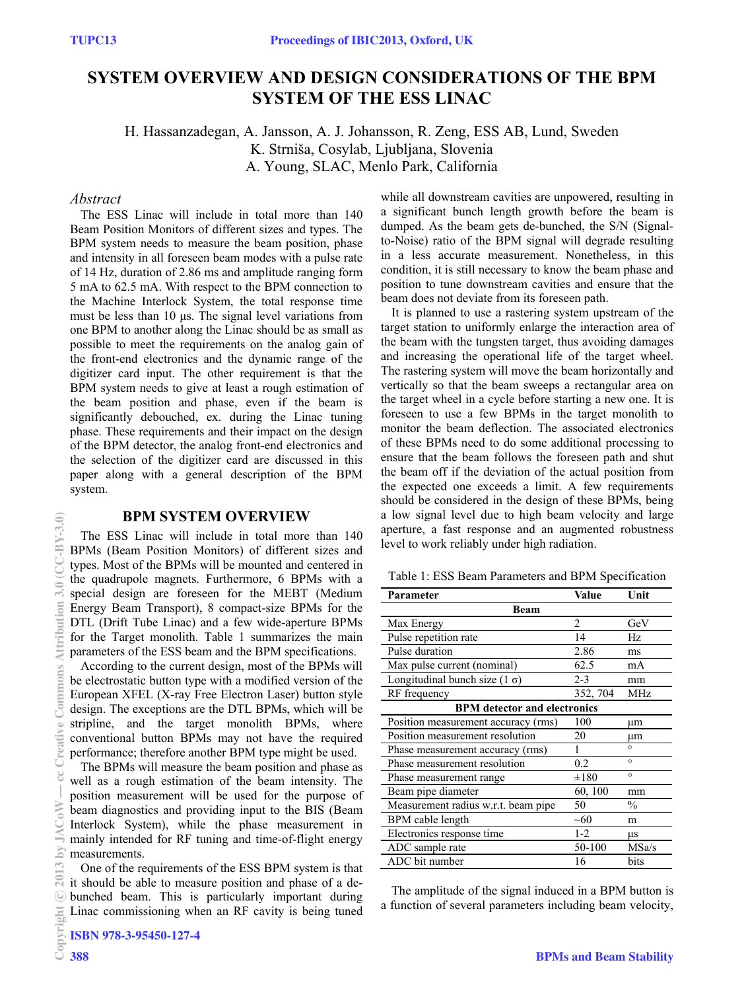# **SYSTEM OVERVIEW AND DESIGN CONSIDERATIONS OF THE BPM SYSTEM OF THE ESS LINAC**

H. Hassanzadegan, A. Jansson, A. J. Johansson, R. Zeng, ESS AB, Lund, Sweden K. Strniša, Cosylab, Ljubljana, Slovenia A. Young, SLAC, Menlo Park, California

## *Abstract*

 The ESS Linac will include in total more than 140 Beam Position Monitors of different sizes and types. The BPM system needs to measure the beam position, phase and intensity in all foreseen beam modes with a pulse rate of 14 Hz, duration of 2.86 ms and amplitude ranging form 5 mA to 62.5 mA. With respect to the BPM connection to the Machine Interlock System, the total response time must be less than  $10 \mu s$ . The signal level variations from one BPM to another along the Linac should be as small as possible to meet the requirements on the analog gain of the front-end electronics and the dynamic range of the digitizer card input. The other requirement is that the BPM system needs to give at least a rough estimation of the beam position and phase, even if the beam is significantly debouched, ex. during the Linac tuning phase. These requirements and their impact on the design of the BPM detector, the analog front-end electronics and the selection of the digitizer card are discussed in this paper along with a general description of the BPM system.

## **BPM SYSTEM OVERVIEW**

 The ESS Linac will include in total more than 140 BPMs (Beam Position Monitors) of different sizes and types. Most of the BPMs will be mounted and centered in the quadrupole magnets. Furthermore, 6 BPMs with a special design are foreseen for the MEBT (Medium Energy Beam Transport), 8 compact-size BPMs for the DTL (Drift Tube Linac) and a few wide-aperture BPMs for the Target monolith. Table 1 summarizes the main parameters of the ESS beam and the BPM specifications.

 According to the current design, most of the BPMs will be electrostatic button type with a modified version of the European XFEL (X-ray Free Electron Laser) button style design. The exceptions are the DTL BPMs, which will be stripline, and the target monolith BPMs, where conventional button BPMs may not have the required performance; therefore another BPM type might be used.

 The BPMs will measure the beam position and phase as well as a rough estimation of the beam intensity. The position measurement will be used for the purpose of beam diagnostics and providing input to the BIS (Beam Interlock System), while the phase measurement in mainly intended for RF tuning and time-of-flight energy measurements.

 One of the requirements of the ESS BPM system is that it should be able to measure position and phase of a debunched beam. This is particularly important during Linac commissioning when an RF cavity is being tuned while all downstream cavities are unpowered, resulting in a significant bunch length growth before the beam is dumped. As the beam gets de-bunched, the S/N (Signalto-Noise) ratio of the BPM signal will degrade resulting in a less accurate measurement. Nonetheless, in this condition, it is still necessary to know the beam phase and position to tune downstream cavities and ensure that the beam does not deviate from its foreseen path.

 It is planned to use a rastering system upstream of the target station to uniformly enlarge the interaction area of the beam with the tungsten target, thus avoiding damages and increasing the operational life of the target wheel. The rastering system will move the beam horizontally and vertically so that the beam sweeps a rectangular area on the target wheel in a cycle before starting a new one. It is foreseen to use a few BPMs in the target monolith to monitor the beam deflection. The associated electronics of these BPMs need to do some additional processing to ensure that the beam follows the foreseen path and shut the beam off if the deviation of the actual position from the expected one exceeds a limit. A few requirements should be considered in the design of these BPMs, being a low signal level due to high beam velocity and large aperture, a fast response and an augmented robustness level to work reliably under high radiation.

Table 1: ESS Beam Parameters and BPM Specification

| Parameter                            | Value     | Unit          |
|--------------------------------------|-----------|---------------|
| Beam                                 |           |               |
| Max Energy                           | 2         | GeV           |
| Pulse repetition rate                | 14        | Hz.           |
| Pulse duration                       | 2.86      | ms            |
| Max pulse current (nominal)          | 62.5      | mA            |
| Longitudinal bunch size $(1 \sigma)$ | $2 - 3$   | mm            |
| RF frequency                         | 352, 704  | MHz           |
| <b>BPM</b> detector and electronics  |           |               |
| Position measurement accuracy (rms)  | 100       | μm            |
| Position measurement resolution      | 20        | μm            |
| Phase measurement accuracy (rms)     |           | $\circ$       |
| Phase measurement resolution         | 0.2       | $\circ$       |
| Phase measurement range              | $\pm 180$ | $\circ$       |
| Beam pipe diameter                   | 60, 100   | mm            |
| Measurement radius w.r.t. beam pipe  | 50        | $\frac{0}{0}$ |
| BPM cable length                     | ~10       | m             |
| Electronics response time            | $1 - 2$   | μs            |
| ADC sample rate                      | 50-100    | MSa/s         |
| ADC bit number                       | 16        | bits          |

 The amplitude of the signal induced in a BPM button is a function of several parameters including beam velocity,

 $CC-RY-3.0$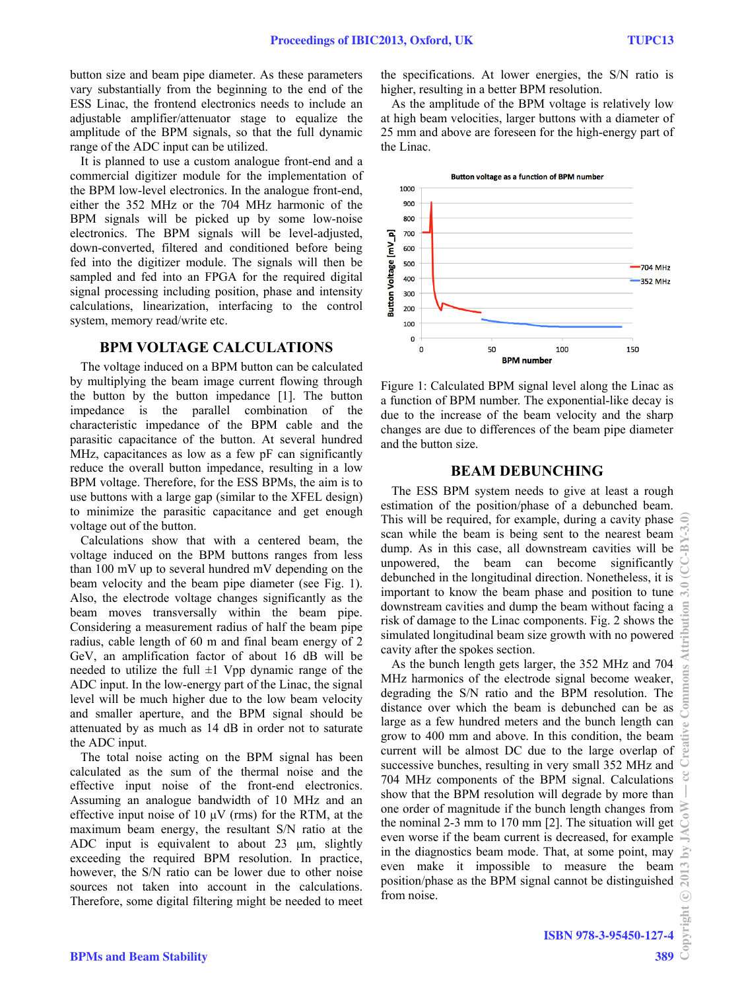button size and beam pipe diameter. As these parameters vary substantially from the beginning to the end of the ESS Linac, the frontend electronics needs to include an adjustable amplifier/attenuator stage to equalize the amplitude of the BPM signals, so that the full dynamic range of the ADC input can be utilized.

 It is planned to use a custom analogue front-end and a commercial digitizer module for the implementation of the BPM low-level electronics. In the analogue front-end, either the 352 MHz or the 704 MHz harmonic of the BPM signals will be picked up by some low-noise electronics. The BPM signals will be level-adjusted, down-converted, filtered and conditioned before being fed into the digitizer module. The signals will then be sampled and fed into an FPGA for the required digital signal processing including position, phase and intensity calculations, linearization, interfacing to the control system, memory read/write etc.

## **BPM VOLTAGE CALCULATIONS**

 The voltage induced on a BPM button can be calculated by multiplying the beam image current flowing through the button by the button impedance [1]. The button impedance is the parallel combination of the characteristic impedance of the BPM cable and the parasitic capacitance of the button. At several hundred MHz, capacitances as low as a few pF can significantly reduce the overall button impedance, resulting in a low BPM voltage. Therefore, for the ESS BPMs, the aim is to use buttons with a large gap (similar to the XFEL design) to minimize the parasitic capacitance and get enough voltage out of the button.

 Calculations show that with a centered beam, the voltage induced on the BPM buttons ranges from less than 100 mV up to several hundred mV depending on the beam velocity and the beam pipe diameter (see Fig. 1). Also, the electrode voltage changes significantly as the beam moves transversally within the beam pipe. Considering a measurement radius of half the beam pipe radius, cable length of 60 m and final beam energy of 2 GeV, an amplification factor of about 16 dB will be needed to utilize the full  $\pm 1$  Vpp dynamic range of the ADC input. In the low-energy part of the Linac, the signal level will be much higher due to the low beam velocity and smaller aperture, and the BPM signal should be attenuated by as much as 14 dB in order not to saturate the ADC input.

 The total noise acting on the BPM signal has been calculated as the sum of the thermal noise and the effective input noise of the front-end electronics. Assuming an analogue bandwidth of 10 MHz and an effective input noise of 10  $\mu$ V (rms) for the RTM, at the maximum beam energy, the resultant S/N ratio at the ADC input is equivalent to about  $23 \mu m$ , slightly exceeding the required BPM resolution. In practice, however, the S/N ratio can be lower due to other noise sources not taken into account in the calculations. Therefore, some digital filtering might be needed to meet the specifications. At lower energies, the S/N ratio is higher, resulting in a better BPM resolution.

 As the amplitude of the BPM voltage is relatively low at high beam velocities, larger buttons with a diameter of 25 mm and above are foreseen for the high-energy part of the Linac.



Figure 1: Calculated BPM signal level along the Linac as a function of BPM number. The exponential-like decay is due to the increase of the beam velocity and the sharp changes are due to differences of the beam pipe diameter and the button size.

#### **BEAM DEBUNCHING**

 The ESS BPM system needs to give at least a rough estimation of the position/phase of a debunched beam. This will be required, for example, during a cavity phase scan while the beam is being sent to the nearest beam dump. As in this case, all downstream cavities will be unpowered, the beam can become significantly debunched in the longitudinal direction. Nonetheless, it is important to know the beam phase and position to tune downstream cavities and dump the beam without facing a risk of damage to the Linac components. Fig. 2 shows the simulated longitudinal beam size growth with no powered cavity after the spokes section.

 As the bunch length gets larger, the 352 MHz and 704 MHz harmonics of the electrode signal become weaker, degrading the S/N ratio and the BPM resolution. The distance over which the beam is debunched can be as large as a few hundred meters and the bunch length can grow to 400 mm and above. In this condition, the beam current will be almost DC due to the large overlap of successive bunches, resulting in very small 352 MHz and 704 MHz components of the BPM signal. Calculations show that the BPM resolution will degrade by more than one order of magnitude if the bunch length changes from the nominal 2-3 mm to 170 mm [2]. The situation will get even worse if the beam current is decreased, for example in the diagnostics beam mode. That, at some point, may even make it impossible to measure the beam position/phase as the BPM signal cannot be distinguished from noise.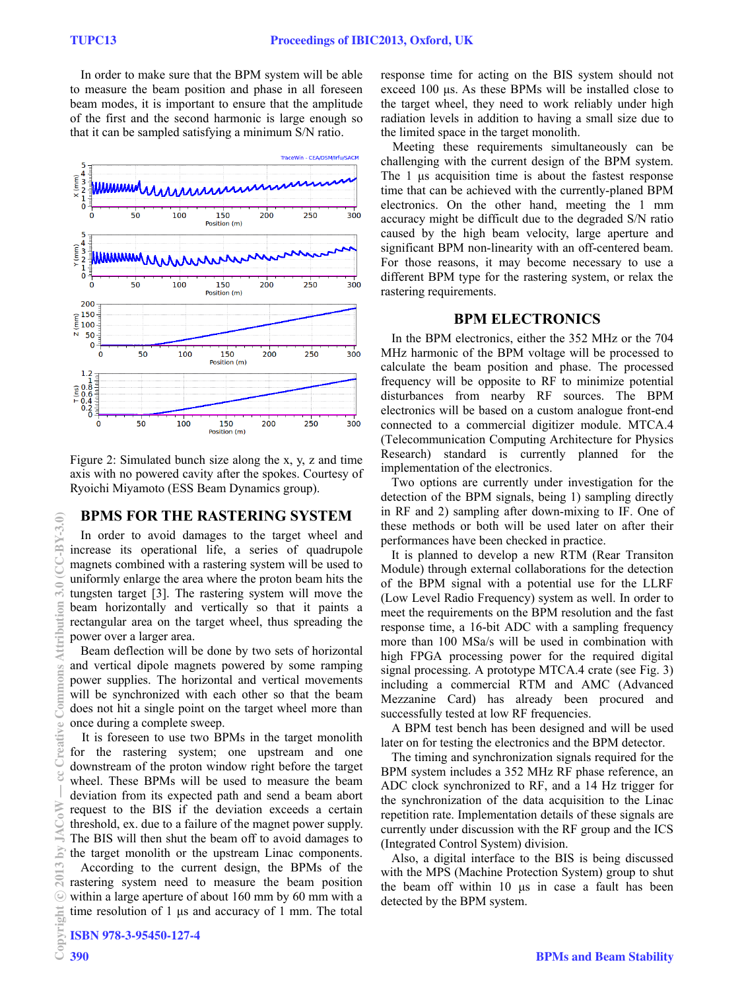In order to make sure that the BPM system will be able to measure the beam position and phase in all foreseen beam modes, it is important to ensure that the amplitude of the first and the second harmonic is large enough so that it can be sampled satisfying a minimum S/N ratio.



Figure 2: Simulated bunch size along the x, y, z and time axis with no powered cavity after the spokes. Courtesy of Ryoichi Miyamoto (ESS Beam Dynamics group).

## **BPMS FOR THE RASTERING SYSTEM**

 In order to avoid damages to the target wheel and increase its operational life, a series of quadrupole magnets combined with a rastering system will be used to uniformly enlarge the area where the proton beam hits the tungsten target [3]. The rastering system will move the beam horizontally and vertically so that it paints a rectangular area on the target wheel, thus spreading the power over a larger area.

 Beam deflection will be done by two sets of horizontal and vertical dipole magnets powered by some ramping power supplies. The horizontal and vertical movements will be synchronized with each other so that the beam does not hit a single point on the target wheel more than once during a complete sweep.

It is foreseen to use two BPMs in the target monolith for the rastering system; one upstream and one downstream of the proton window right before the target wheel. These BPMs will be used to measure the beam deviation from its expected path and send a beam abort request to the BIS if the deviation exceeds a certain threshold, ex. due to a failure of the magnet power supply. The BIS will then shut the beam off to avoid damages to the target monolith or the upstream Linac components.

 According to the current design, the BPMs of the rastering system need to measure the beam position within a large aperture of about 160 mm by 60 mm with a time resolution of  $1 \mu s$  and accuracy of  $1 \mu m$ . The total

response time for acting on the BIS system should not exceed 100 µs. As these BPMs will be installed close to the target wheel, they need to work reliably under high radiation levels in addition to having a small size due to the limited space in the target monolith.

Meeting these requirements simultaneously can be challenging with the current design of the BPM system. The  $1 \mu s$  acquisition time is about the fastest response time that can be achieved with the currently-planed BPM electronics. On the other hand, meeting the 1 mm accuracy might be difficult due to the degraded S/N ratio caused by the high beam velocity, large aperture and significant BPM non-linearity with an off-centered beam. For those reasons, it may become necessary to use a different BPM type for the rastering system, or relax the rastering requirements.

# **BPM ELECTRONICS**

 In the BPM electronics, either the 352 MHz or the 704 MHz harmonic of the BPM voltage will be processed to calculate the beam position and phase. The processed frequency will be opposite to RF to minimize potential disturbances from nearby RF sources. The BPM electronics will be based on a custom analogue front-end connected to a commercial digitizer module. MTCA.4 (Telecommunication Computing Architecture for Physics Research) standard is currently planned for the implementation of the electronics.

 Two options are currently under investigation for the detection of the BPM signals, being 1) sampling directly in RF and 2) sampling after down-mixing to IF. One of these methods or both will be used later on after their performances have been checked in practice.

 It is planned to develop a new RTM (Rear Transiton Module) through external collaborations for the detection of the BPM signal with a potential use for the LLRF (Low Level Radio Frequency) system as well. In order to meet the requirements on the BPM resolution and the fast response time, a 16-bit ADC with a sampling frequency more than 100 MSa/s will be used in combination with high FPGA processing power for the required digital signal processing. A prototype MTCA.4 crate (see Fig. 3) including a commercial RTM and AMC (Advanced Mezzanine Card) has already been procured and successfully tested at low RF frequencies.

 A BPM test bench has been designed and will be used later on for testing the electronics and the BPM detector.

 The timing and synchronization signals required for the BPM system includes a 352 MHz RF phase reference, an ADC clock synchronized to RF, and a 14 Hz trigger for the synchronization of the data acquisition to the Linac repetition rate. Implementation details of these signals are currently under discussion with the RF group and the ICS (Integrated Control System) division.

 Also, a digital interface to the BIS is being discussed with the MPS (Machine Protection System) group to shut the beam off within  $10 \mu s$  in case a fault has been detected by the BPM system.